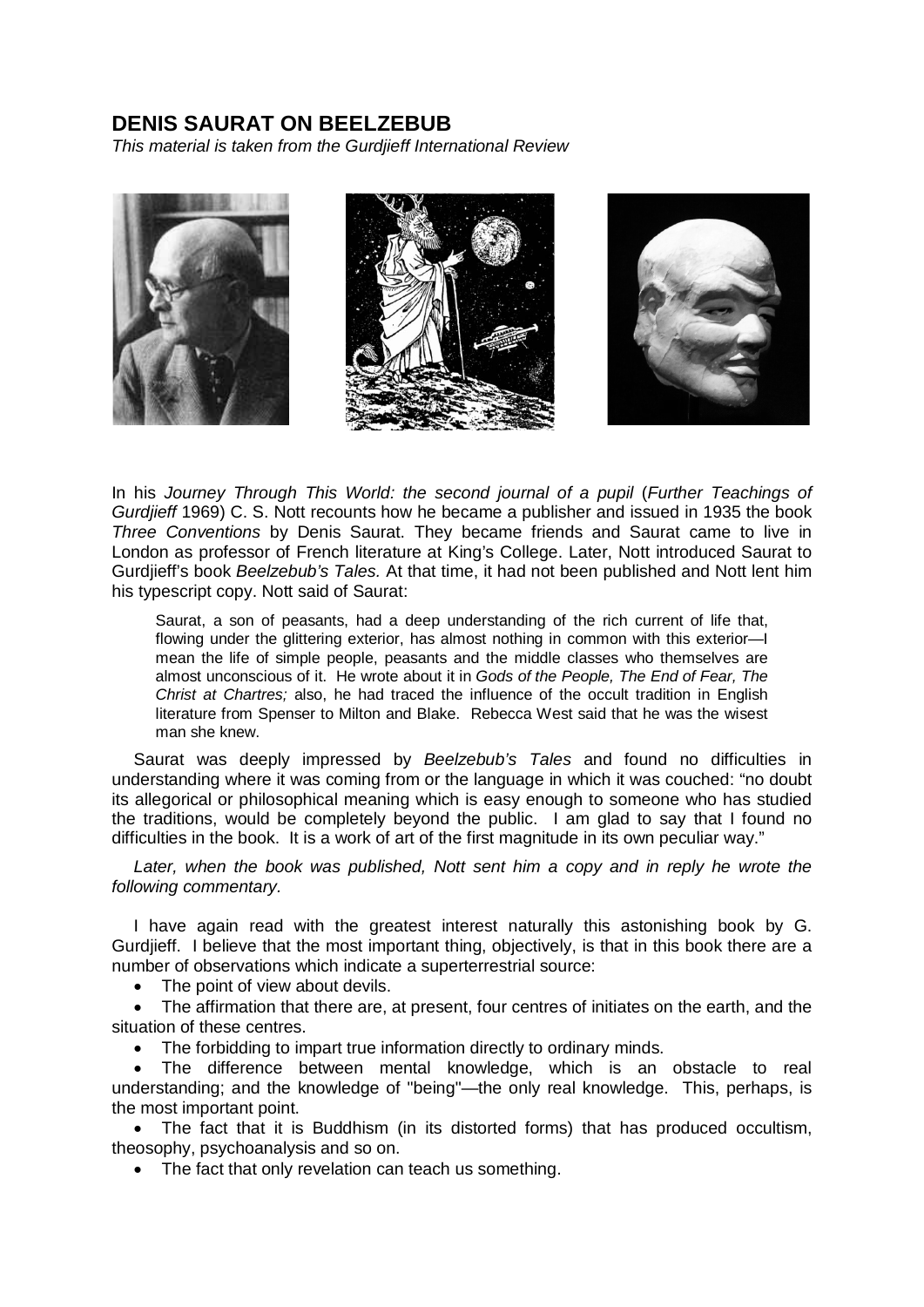## **DENIS SAURAT ON BEELZEBUB**

*This material is taken from the Gurdjieff International Review*



In his *Journey Through This World: the second journal of a pupil (Further Teachings of Gurdjieff* 1969) C. S. Nott recounts how he became a publisher and issued in 1935 the book *Three Conventions* by Denis Saurat. They became friends and Saurat came to live in London as professor of French literature at King's College. Later, Nott introduced Saurat to Gurdjieff's book *Beelzebub's Tales.* At that time, it had not been published and Nott lent him his typescript copy. Nott said of Saurat:

Saurat, a son of peasants, had a deep understanding of the rich current of life that, flowing under the glittering exterior, has almost nothing in common with this exterior—I mean the life of simple people, peasants and the middle classes who themselves are almost unconscious of it. He wrote about it in *Gods of the People, The End of Fear, The Christ at Chartres;* also, he had traced the influence of the occult tradition in English literature from Spenser to Milton and Blake. Rebecca West said that he was the wisest man she knew.

Saurat was deeply impressed by *Beelzebub's Tales* and found no difficulties in understanding where it was coming from or the language in which it was couched: "no doubt its allegorical or philosophical meaning which is easy enough to someone who has studied the traditions, would be completely beyond the public. I am glad to say that I found no difficulties in the book. It is a work of art of the first magnitude in its own peculiar way."

Later, when the book was published, Nott sent him a copy and in reply he wrote the *following commentary.*

I have again read with the greatest interest naturally this astonishing book by G. Gurdjieff. I believe that the most important thing, objectively, is that in this book there are a number of observations which indicate a superterrestrial source:

The point of view about devils.

• The affirmation that there are, at present, four centres of initiates on the earth, and the situation of these centres.

• The forbidding to impart true information directly to ordinary minds.

• The difference between mental knowledge, which is an obstacle to real understanding; and the knowledge of "being"—the only real knowledge. This, perhaps, is the most important point.

• The fact that it is Buddhism (in its distorted forms) that has produced occultism, theosophy, psychoanalysis and so on.

• The fact that only revelation can teach us something.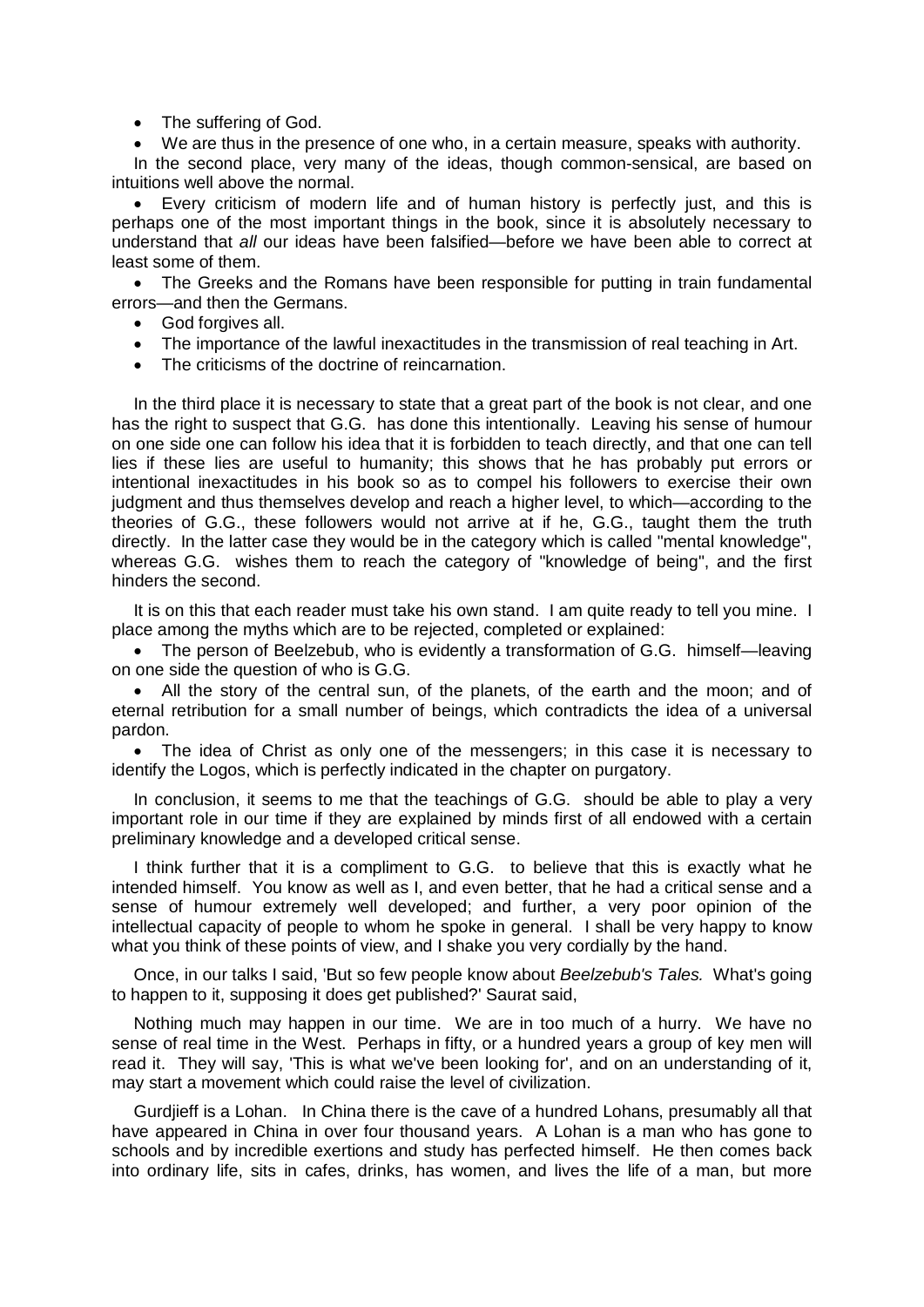• The suffering of God.

• We are thus in the presence of one who, in a certain measure, speaks with authority.

In the second place, very many of the ideas, though common-sensical, are based on intuitions well above the normal.

• Every criticism of modern life and of human history is perfectly just, and this is perhaps one of the most important things in the book, since it is absolutely necessary to understand that *all* our ideas have been falsified—before we have been able to correct at least some of them.

• The Greeks and the Romans have been responsible for putting in train fundamental errors—and then the Germans.

- God forgives all.
- The importance of the lawful inexactitudes in the transmission of real teaching in Art.
- The criticisms of the doctrine of reincarnation.

In the third place it is necessary to state that a great part of the book is not clear, and one has the right to suspect that G.G. has done this intentionally. Leaving his sense of humour on one side one can follow his idea that it is forbidden to teach directly, and that one can tell lies if these lies are useful to humanity; this shows that he has probably put errors or intentional inexactitudes in his book so as to compel his followers to exercise their own judgment and thus themselves develop and reach a higher level, to which—according to the theories of G.G., these followers would not arrive at if he, G.G., taught them the truth directly. In the latter case they would be in the category which is called "mental knowledge", whereas G.G. wishes them to reach the category of "knowledge of being", and the first hinders the second.

It is on this that each reader must take his own stand. I am quite ready to tell you mine. I place among the myths which are to be rejected, completed or explained:

• The person of Beelzebub, who is evidently a transformation of G.G. himself—leaving on one side the question of who is G.G.

• All the story of the central sun, of the planets, of the earth and the moon; and of eternal retribution for a small number of beings, which contradicts the idea of a universal pardon.

• The idea of Christ as only one of the messengers; in this case it is necessary to identify the Logos, which is perfectly indicated in the chapter on purgatory.

In conclusion, it seems to me that the teachings of G.G. should be able to play a very important role in our time if they are explained by minds first of all endowed with a certain preliminary knowledge and a developed critical sense.

I think further that it is a compliment to G.G. to believe that this is exactly what he intended himself. You know as well as I, and even better, that he had a critical sense and a sense of humour extremely well developed; and further, a very poor opinion of the intellectual capacity of people to whom he spoke in general. I shall be very happy to know what you think of these points of view, and I shake you very cordially by the hand.

Once, in our talks I said, 'But so few people know about *Beelzebub's Tales.* What's going to happen to it, supposing it does get published?' Saurat said,

Nothing much may happen in our time. We are in too much of a hurry. We have no sense of real time in the West. Perhaps in fifty, or a hundred years a group of key men will read it. They will say, 'This is what we've been looking for', and on an understanding of it, may start a movement which could raise the level of civilization.

Gurdjieff is a Lohan. In China there is the cave of a hundred Lohans, presumably all that have appeared in China in over four thousand years. A Lohan is a man who has gone to schools and by incredible exertions and study has perfected himself. He then comes back into ordinary life, sits in cafes, drinks, has women, and lives the life of a man, but more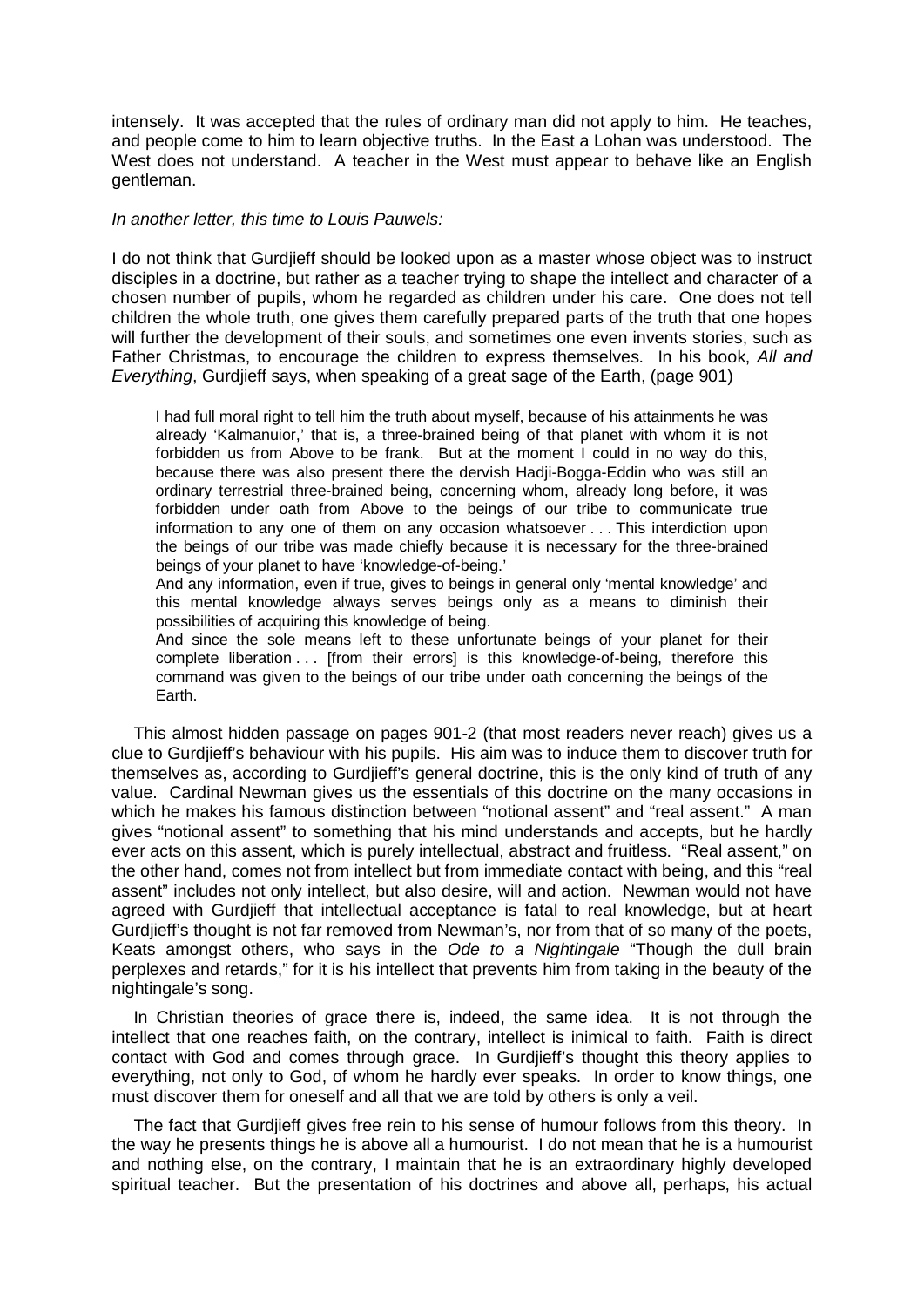intensely. It was accepted that the rules of ordinary man did not apply to him. He teaches, and people come to him to learn objective truths. In the East a Lohan was understood. The West does not understand. A teacher in the West must appear to behave like an English gentleman.

## *In another letter, this time to Louis Pauwels:*

I do not think that Gurdjieff should be looked upon as a master whose object was to instruct disciples in a doctrine, but rather as a teacher trying to shape the intellect and character of a chosen number of pupils, whom he regarded as children under his care. One does not tell children the whole truth, one gives them carefully prepared parts of the truth that one hopes will further the development of their souls, and sometimes one even invents stories, such as Father Christmas, to encourage the children to express themselves. In his book, *All and Everything*, Gurdjieff says, when speaking of a great sage of the Earth, (page 901)

I had full moral right to tell him the truth about myself, because of his attainments he was already 'Kalmanuior,' that is, a three-brained being of that planet with whom it is not forbidden us from Above to be frank. But at the moment I could in no way do this, because there was also present there the dervish Hadji-Bogga-Eddin who was still an ordinary terrestrial three-brained being, concerning whom, already long before, it was forbidden under oath from Above to the beings of our tribe to communicate true information to any one of them on any occasion whatsoever . . . This interdiction upon the beings of our tribe was made chiefly because it is necessary for the three-brained beings of your planet to have 'knowledge-of-being.'

And any information, even if true, gives to beings in general only 'mental knowledge' and this mental knowledge always serves beings only as a means to diminish their possibilities of acquiring this knowledge of being.

And since the sole means left to these unfortunate beings of your planet for their complete liberation . . . [from their errors] is this knowledge-of-being, therefore this command was given to the beings of our tribe under oath concerning the beings of the Earth.

This almost hidden passage on pages 901-2 (that most readers never reach) gives us a clue to Gurdjieff's behaviour with his pupils. His aim was to induce them to discover truth for themselves as, according to Gurdjieff's general doctrine, this is the only kind of truth of any value. Cardinal Newman gives us the essentials of this doctrine on the many occasions in which he makes his famous distinction between "notional assent" and "real assent." A man gives "notional assent" to something that his mind understands and accepts, but he hardly ever acts on this assent, which is purely intellectual, abstract and fruitless. "Real assent," on the other hand, comes not from intellect but from immediate contact with being, and this "real assent" includes not only intellect, but also desire, will and action. Newman would not have agreed with Gurdjieff that intellectual acceptance is fatal to real knowledge, but at heart Gurdjieff's thought is not far removed from Newman's, nor from that of so many of the poets, Keats amongst others, who says in the *Ode to a Nightingale* "Though the dull brain perplexes and retards," for it is his intellect that prevents him from taking in the beauty of the nightingale's song.

In Christian theories of grace there is, indeed, the same idea. It is not through the intellect that one reaches faith, on the contrary, intellect is inimical to faith. Faith is direct contact with God and comes through grace. In Gurdjieff's thought this theory applies to everything, not only to God, of whom he hardly ever speaks. In order to know things, one must discover them for oneself and all that we are told by others is only a veil.

The fact that Gurdjieff gives free rein to his sense of humour follows from this theory. In the way he presents things he is above all a humourist. I do not mean that he is a humourist and nothing else, on the contrary, I maintain that he is an extraordinary highly developed spiritual teacher. But the presentation of his doctrines and above all, perhaps, his actual